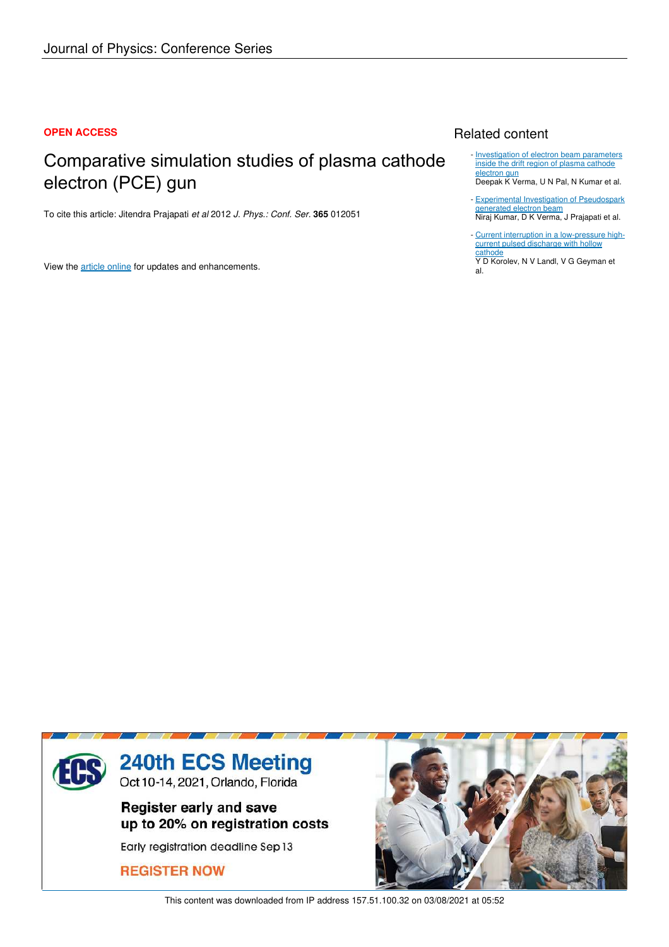#### **OPEN ACCESS**

# Comparative simulation studies of plasma cathode electron (PCE) gun

To cite this article: Jitendra Prajapati *et al* 2012 *J. Phys.: Conf. Ser.* **365** 012051

View the article online for updates and enhancements.

## Related content

- Investigation of electron beam parameters inside the drift region of plasma cathode electron gun

Deepak K Verma, U N Pal, N Kumar et al.

- Experimental Investigation of Pseudospark generated electron beam Niraj Kumar, D K Verma, J Prajapati et al. -
- Current interruption in a low-pressure highcurrent pulsed discharge with hollow cathode -

Y D Korolev, N V Landl, V G Geyman et al.



This content was downloaded from IP address 157.51.100.32 on 03/08/2021 at 05:52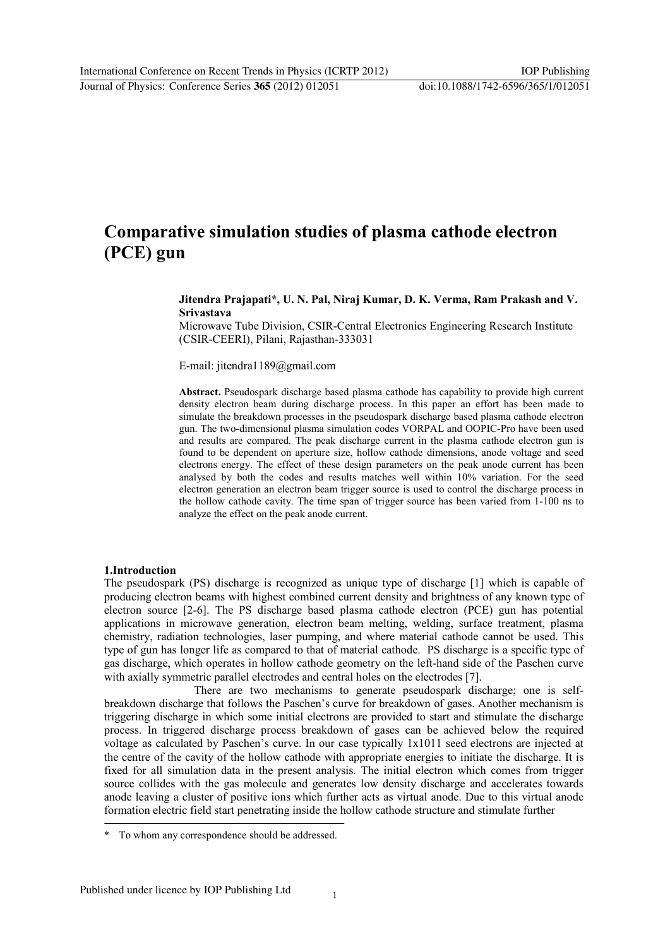## Comparative simulation studies of plasma cathode electron (PCE) gun

#### Jitendra Prajapati\*, U. N. Pal, Niraj Kumar, D. K. Verma, Ram Prakash and V. Srivastava

Microwave Tube Division, CSIR-Central Electronics Engineering Research Institute (CSIR-CEERI), Pilani, Rajasthan-333031

E-mail: jitendra1189@gmail.com

Abstract. Pseudospark discharge based plasma cathode has capability to provide high current density electron beam during discharge process. In this paper an effort has been made to simulate the breakdown processes in the pseudospark discharge based plasma cathode electron gun. The two-dimensional plasma simulation codes VORPAL and OOPIC-Pro have been used and results are compared. The peak discharge current in the plasma cathode electron gun is found to be dependent on aperture size, hollow cathode dimensions, anode voltage and seed electrons energy. The effect of these design parameters on the peak anode current has been analysed by both the codes and results matches well within 10% variation. For the seed electron generation an electron beam trigger source is used to control the discharge process in the hollow cathode cavity. The time span of trigger source has been varied from 1-100 ns to analyze the effect on the peak anode current.

#### 1.Introduction

The pseudospark (PS) discharge is recognized as unique type of discharge [1] which is capable of producing electron beams with highest combined current density and brightness of any known type of electron source [2-6]. The PS discharge based plasma cathode electron (PCE) gun has potential applications in microwave generation, electron beam melting, welding, surface treatment, plasma chemistry, radiation technologies, laser pumping, and where material cathode cannot be used. This type of gun has longer life as compared to that of material cathode. PS discharge is a specific type of gas discharge, which operates in hollow cathode geometry on the left-hand side of the Paschen curve with axially symmetric parallel electrodes and central holes on the electrodes [7].

There are two mechanisms to generate pseudospark discharge; one is selfbreakdown discharge that follows the Paschen's curve for breakdown of gases. Another mechanism is triggering discharge in which some initial electrons are provided to start and stimulate the discharge process. In triggered discharge process breakdown of gases can be achieved below the required voltage as calculated by Paschen's curve. In our case typically 1x1011 seed electrons are injected at the centre of the cavity of the hollow cathode with appropriate energies to initiate the discharge. It is fixed for all simulation data in the present analysis. The initial electron which comes from trigger source collides with the gas molecule and generates low density discharge and accelerates towards anode leaving a cluster of positive ions which further acts as virtual anode. Due to this virtual anode formation electric field start penetrating inside the hollow cathode structure and stimulate further

To whom any correspondence should be addressed.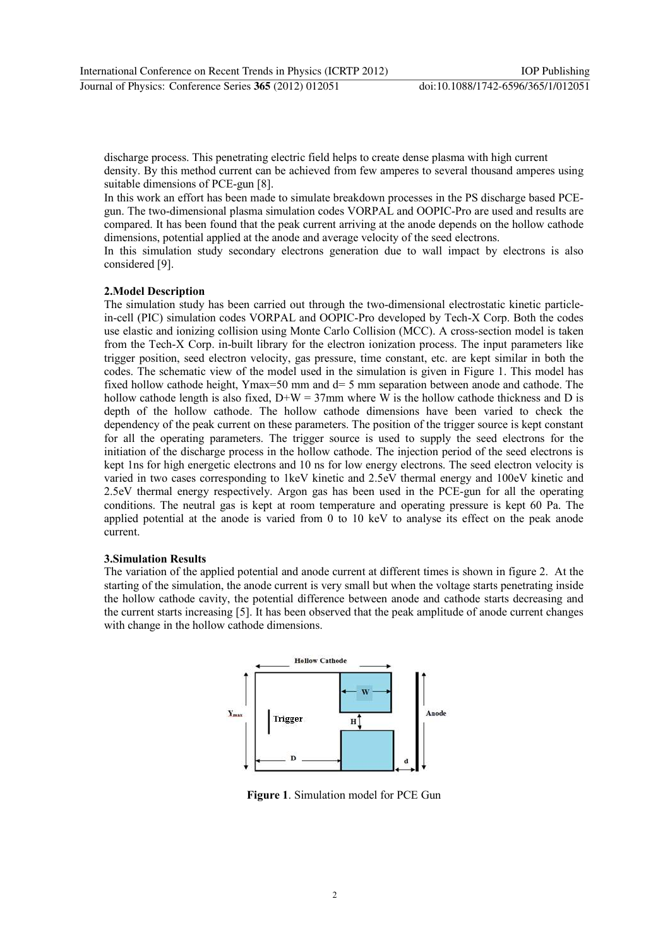discharge process. This penetrating electric field helps to create dense plasma with high current density. By this method current can be achieved from few amperes to several thousand amperes using suitable dimensions of PCE-gun [8].

In this work an effort has been made to simulate breakdown processes in the PS discharge based PCEgun. The two-dimensional plasma simulation codes VORPAL and OOPIC-Pro are used and results are compared. It has been found that the peak current arriving at the anode depends on the hollow cathode dimensions, potential applied at the anode and average velocity of the seed electrons.

In this simulation study secondary electrons generation due to wall impact by electrons is also considered [9].

### **2. Model Description**

The simulation study has been carried out through the two-dimensional electrostatic kinetic particlein-cell (PIC) simulation codes VORPAL and OOPIC-Pro developed by Tech-X Corp. Both the codes use elastic and ionizing collision using Monte Carlo Collision (MCC). A cross-section model is taken from the Tech-X Corp. in-built library for the electron ionization process. The input parameters like trigger position, seed electron velocity, gas pressure, time constant, etc. are kept similar in both the codes. The schematic view of the model used in the simulation is given in Figure 1. This model has fixed hollow cathode height, Ymax=50 mm and  $d=5$  mm separation between anode and cathode. The hollow cathode length is also fixed,  $D+W = 37$ mm where W is the hollow cathode thickness and D is depth of the hollow cathode. The hollow cathode dimensions have been varied to check the dependency of the peak current on these parameters. The position of the trigger source is kept constant for all the operating parameters. The trigger source is used to supply the seed electrons for the initiation of the discharge process in the hollow cathode. The injection period of the seed electrons is kept 1ns for high energetic electrons and 10 ns for low energy electrons. The seed electron velocity is varied in two cases corresponding to 1keV kinetic and 2.5eV thermal energy and 100eV kinetic and 2.5eV thermal energy respectively. Argon gas has been used in the PCE-gun for all the operating conditions. The neutral gas is kept at room temperature and operating pressure is kept 60 Pa. The applied potential at the anode is varied from 0 to 10 keV to analyse its effect on the peak anode current.

#### **3. Simulation Results**

The variation of the applied potential and anode current at different times is shown in figure 2. At the starting of the simulation, the anode current is very small but when the voltage starts penetrating inside the hollow cathode cavity, the potential difference between anode and cathode starts decreasing and the current starts increasing [5]. It has been observed that the peak amplitude of anode current changes with change in the hollow cathode dimensions.



Figure 1. Simulation model for PCE Gun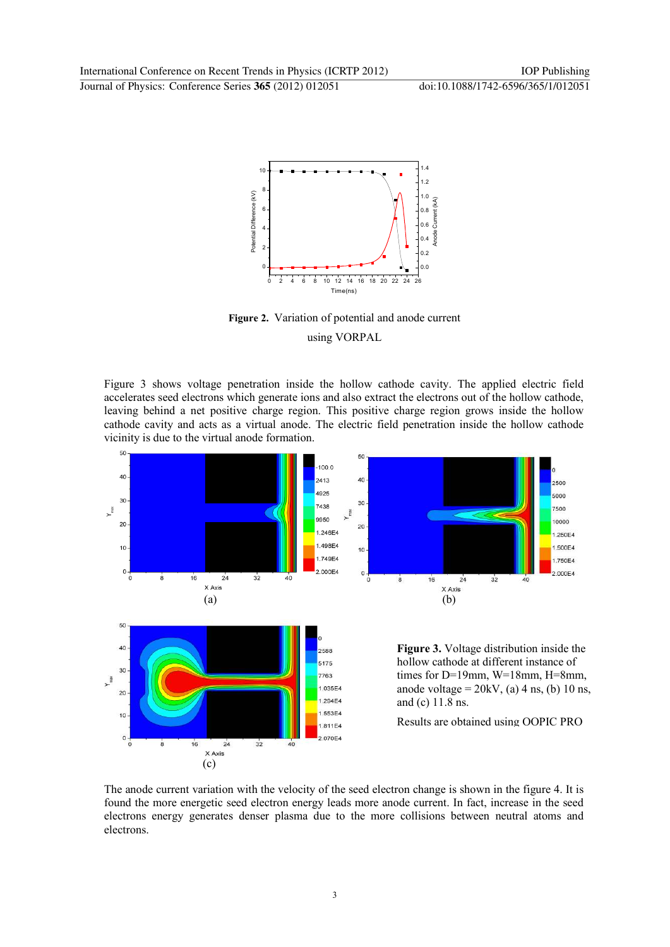

Figure 2. Variation of potential and anode current using VORPAL

Figure 3 shows voltage penetration inside the hollow cathode cavity. The applied electric field accelerates seed electrons which generate ions and also extract the electrons out of the hollow cathode, leaving behind a net positive charge region. This positive charge region grows inside the hollow cathode cavity and acts as a virtual anode. The electric field penetration inside the hollow cathode vicinity is due to the virtual anode formation.



The anode current variation with the velocity of the seed electron change is shown in the figure 4. It is found the more energetic seed electron energy leads more anode current. In fact, increase in the seed electrons energy generates denser plasma due to the more collisions between neutral atoms and electrons.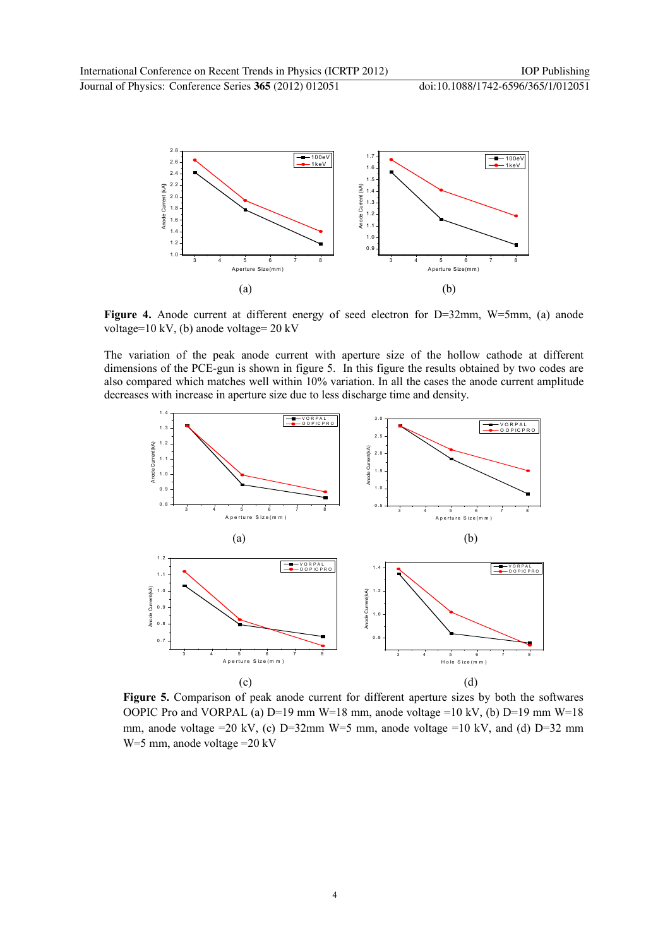

Figure 4. Anode current at different energy of seed electron for  $D=32$ mm,  $W=5$ mm, (a) anode voltage= $10 \text{ kV}$ , (b) anode voltage= $20 \text{ kV}$ 

The variation of the peak anode current with aperture size of the hollow cathode at different dimensions of the PCE-gun is shown in figure 5. In this figure the results obtained by two codes are also compared which matches well within  $10\%$  variation. In all the cases the anode current amplitude decreases with increase in aperture size due to less discharge time and density.



Figure 5. Comparison of peak anode current for different aperture sizes by both the softwares OOPIC Pro and VORPAL (a)  $D=19$  mm W=18 mm, anode voltage =10 kV, (b)  $D=19$  mm W=18 mm, anode voltage = 20 kV, (c) D=32mm W=5 mm, anode voltage = 10 kV, and (d) D=32 mm  $W=5$  mm, anode voltage = 20 kV